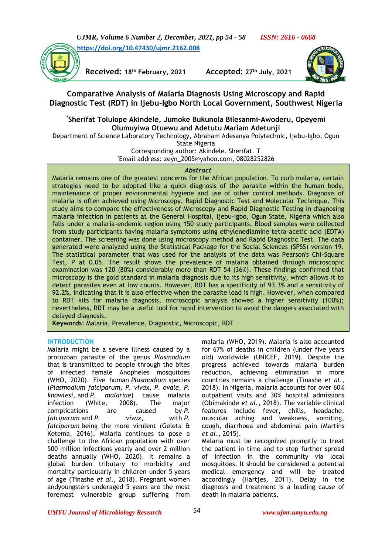



**Received: 18th February, 2021 Accepted: 27th July, 2021**



# **Comparative Analysis of Malaria Diagnosis Using Microscopy and Rapid Diagnostic Test (RDT) in Ijebu-Igbo North Local Government, Southwest Nigeria**

## **\* Sherifat Tolulope Akindele, Jumoke Bukunola Bilesanmi–Awoderu, Opeyemi Olumuyiwa Otuewu and Adetutu Mariam Adetunji**

Department of Science Laboratory Technology, Abraham Adesanya Polytechnic, Ijebu-Igbo, Ogun

State Nigeria

Corresponding author: Akindele. Sherifat. T \*Email address: [zeyn\\_2005@yahoo.com,](mailto:zeyn_2005@yahoo.com) 08028252826

### *Abstract*

Malaria remains one of the greatest concerns for the African population. To curb malaria, certain strategies need to be adopted like a quick diagnosis of the parasite within the human body, maintenance of proper environmental hygiene and use of other control methods. Diagnosis of malaria is often achieved using Microscopy, Rapid Diagnostic Test and Molecular Technique. This study aims to compare the effectiveness of Microscopy and Rapid Diagnostic Testing in diagnosing malaria infection in patients at the General Hospital, Ijebu-Igbo, Ogun State, Nigeria which also falls under a malaria-endemic region using 150 study participants. Blood samples were collected from study participants having malaria symptoms using ethylenediamine tetra-acetic acid (EDTA) container. The screening was done using microscopy method and Rapid Diagnostic Test. The data generated were analyzed using the Statistical Package for the Social Sciences (SPSS) version 19. The statistical parameter that was used for the analysis of the data was Pearson's Chi-Square Test, P at 0.05. The result shows the prevalence of malaria obtained through microscopic examination was 120 (80%) considerably more than RDT 54 (36%). These findings confirmed that microscopy is the gold standard in malaria diagnosis due to its high sensitivity, which allows it to detect parasites even at low counts. However, RDT has a specificity of 93.3% and a sensitivity of 92.2%, indicating that it is also effective when the parasite load is high. However, when compared to RDT kits for malaria diagnosis, microscopic analysis showed a higher sensitivity (100%); nevertheless, RDT may be a useful tool for rapid intervention to avoid the dangers associated with delayed diagnosis.

**Keywords**: Malaria, Prevalence, Diagnostic, Microscopic, RDT

## **INTRODUCTION**

Malaria might be a severe illness caused by a protozoan parasite of the genus *Plasmodium* that is transmitted to people through the bites of infected female Anopheles mosquitoes (WHO, 2020). Five human *Plasmodium* species (*Plasmodium falciparum, P. vivax, P. ovale, P. knowlesi,* and *P. malariae*) cause malaria infection (White, 2008). The major complications are caused by *P. falciparum* and *P. vivax*, with *P. falciparum* being the more virulent (Geleta & Ketema, 2016). Malaria continues to pose a challenge to the African population with over 500 million infections yearly and over 2 million deaths annually (WHO, 2020). It remains a global burden tributary to morbidity and mortality particularly in children under 5 years of age (Tinashe *et al*., 2018). Pregnant women andyoungsters underaged 5 years are the most foremost vulnerable group suffering from

malaria (WHO, 2019). Malaria is also accounted for 67% of deaths in children (under five years old) worldwide (UNICEF, 2019). Despite the progress achieved towards malaria burden reduction, achieving elimination in more countries remains a challenge (Tinashe *et al*., 2018). In Nigeria, malaria accounts for over 60% outpatient visits and 30% hospital admissions (Obimakinde *et al.*, 2018). The variable clinical features include fever, chills, headache, muscular aching and weakness, vomiting, cough, diarrhoea and abdominal pain (Martins *et al*., 2015).

Malaria must be recognized promptly to treat the patient in time and to stop further spread of infection in the community via local mosquitoes. It should be considered a potential medical emergency and will be treated accordingly (Hartjes, 2011). Delay in the diagnosis and treatment is a leading cause of death in malaria patients.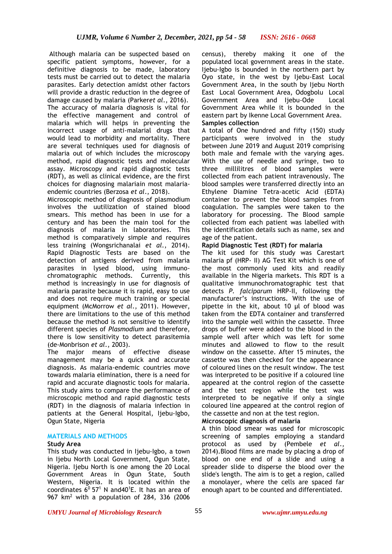Although malaria can be suspected based on specific patient symptoms, however, for a definitive diagnosis to be made, laboratory tests must be carried out to detect the malaria parasites. Early detection amidst other factors will provide a drastic reduction in the degree of damage caused by malaria (Parker*et al*., 2016). The accuracy of malaria diagnosis is vital for the effective management and control of malaria which will helps in preventing the incorrect usage of anti-malarial drugs that would lead to morbidity and mortality. There are several techniques used for diagnosis of malaria out of which includes the microscopy method, rapid diagnostic tests and molecular assay. Microscopy and rapid diagnostic tests (RDT), as well as clinical evidence, are the first choices for diagnosing malariain most malariaendemic countries (Berzosa *et al*., 2018).

Microscopic method of diagnosis of plasmodium involves the uutilization of stained blood smears. This method has been in use for a century and has been the main tool for the diagnosis of malaria in laboratories. This method is comparatively simple and requires less training (Wongsrichanalai *et al*., 2014). Rapid Diagnostic Tests are based on the detection of antigens derived from malaria parasites in lysed blood, using immunochromatographic methods. Currently, this method is increasingly in use for diagnosis of malaria parasite because it is rapid, easy to use and does not require much training or special equipment (McMorrow *et al*., 2011). However, there are limitations to the use of this method because the method is not sensitive to identify different species of *Plasmodium* and therefore, there is low sensitivity to detect parasitemia (de-Monbrison *et al*., 2003).

The major means of effective disease management may be a quick and accurate diagnosis. As malaria-endemic countries move towards malaria elimination, there is a need for rapid and accurate diagnostic tools for malaria. This study aims to compare the performance of microscopic method and rapid diagnostic tests (RDT) in the diagnosis of malaria infection in patients at the General Hospital, Ijebu-Igbo, Ogun State, Nigeria

#### **MATERIALS AND METHODS**

#### **Study Area**

This study was conducted in Ijebu-Igbo, a town in Ijebu North Local Government, Ogun State, Nigeria. Ijebu North is one among the 20 [Local](https://en.wikipedia.org/wiki/Local_Government_Areas_of_Nigeria)  [Government Areas](https://en.wikipedia.org/wiki/Local_Government_Areas_of_Nigeria) in [Ogun State,](https://en.wikipedia.org/wiki/Ogun_State) South Western, [Nigeria.](https://en.wikipedia.org/wiki/Nigeria) It is located within the coordinates  $6^0$  57<sup>1</sup> N and 40<sup>1</sup>E. It has an area of 967 km<sup>2</sup> with a population of 284, 336 (2006

census), thereby making it one of the populated local government areas in the state. Ijebu-Igbo is bounded in the northern part by Oyo state, in the west by Ijebu-East Local Government Area, in the south by Ijebu North East Local Government Area, Odogbolu Local Government Area and Ijebu-Ode Local Government Area while it is bounded in the eastern part by Ikenne Local Government Area. **Samples collection**

A total of One hundred and fifty (150) study participants were involved in the study between June 2019 and August 2019 comprising both male and female with the varying ages. With the use of needle and syringe, two to three millilitres of blood samples were collected from each patient intravenously. The blood samples were transferred directly into an Ethylene Diamine Tetra-acetic Acid (EDTA) container to prevent the blood samples from coagulation. The samples were taken to the laboratory for processing. The Blood sample collected from each patient was labelled with the identification details such as name, sex and age of the patient.

#### **Rapid Diagnostic Test (RDT) for malaria**

The kit used for this study was Carestart malaria pf (HRP- II) AG Test Kit which is one of the most commonly used kits and readily available in the Nigeria markets. This RDT is a qualitative immunochromatographic test that detects *P. falciparum* HRP-II, following the manufacturer's instructions. With the use of pipette in the kit, about 10 μl of blood was taken from the EDTA container and transferred into the sample well within the cassette. Three drops of buffer were added to the blood in the sample well after which was left for some minutes and allowed to flow to the result window on the cassette. After 15 minutes, the cassette was then checked for the appearance of coloured lines on the result window. The test was interpreted to be positive if a coloured line appeared at the control region of the cassette and the test region while the test was interpreted to be negative if only a single coloured line appeared at the control region of the cassette and non at the test region.

## **Microscopic diagnosis of malaria**

A thin blood smear was used for microscopic screening of samples employing a standard protocol as used by (Pembele *et al*., 2014).Blood films are made by placing a drop of blood on one end of a slide and using a spreader slide to disperse the blood over the slide's length. The aim is to get a region, called a monolayer, where the cells are spaced far enough apart to be counted and differentiated.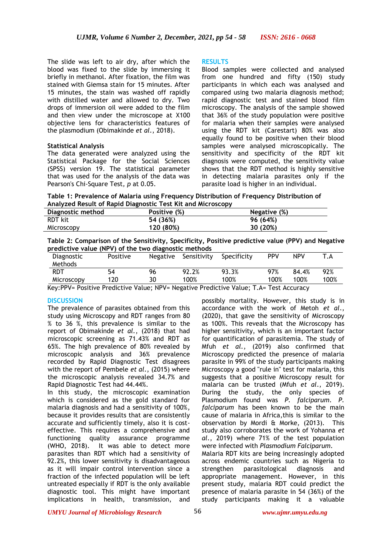The slide was left to air dry, after which the blood was fixed to the slide by immersing it briefly in methanol. After fixation, the film was stained with Giemsa stain for 15 minutes. After 15 minutes, the stain was washed off rapidly with distilled water and allowed to dry. Two drops of immersion oil were added to the film and then view under the microscope at X100 objective lens for characteristics features of the plasmodium (Obimakinde *et al*., 2018).

#### **Statistical Analysis**

The data generated were analyzed using the Statistical Package for the Social Sciences (SPSS) version 19. The statistical parameter that was used for the analysis of the data was Pearson's Chi-Square Test*, p* at 0.05.

#### **RESULTS**

Blood samples were collected and analysed from one hundred and fifty (150) study participants in which each was analysed and compared using two malaria diagnosis method; rapid diagnostic test and stained blood film microscopy. The analysis of the sample showed that 36% of the study population were positive for malaria when their samples were analysed using the RDT kit (Carestart) 80% was also equally found to be positive when their blood samples were analysed microscopically. The sensitivity and specificity of the RDT kit diagnosis were computed, the sensitivity value shows that the RDT method is highly sensitive in detecting malaria parasites only if the parasite load is higher in an individual.

**Table 1: Prevalence of Malaria using Frequency Distribution of Frequency Distribution of Analyzed Result of Rapid Diagnostic Test Kit and Microscopy**

| Diagnostic method | Positive (%) | Negative (%) |  |
|-------------------|--------------|--------------|--|
| RDT kit           | 54 (36%)     | 96 (64%)     |  |
| Microscopy        | 120 (80%)    | 30 (20%)     |  |

**Table 2: Comparison of the Sensitivity, Specificity, Positive predictive value (PPV) and Negative predictive value (NPV) of the two diagnostic methods**

| Diagnostic<br>Methods                                                            | Positive | Negative | Sensitivity                                                                                            | Specificity | <b>PPV</b> | <b>NPV</b> |      |
|----------------------------------------------------------------------------------|----------|----------|--------------------------------------------------------------------------------------------------------|-------------|------------|------------|------|
| RDT                                                                              | 54       | 96       | 92.2%                                                                                                  | 93.3%       | 97%        | 84.4%      | 92%  |
| Microscopy                                                                       | 120      | 30       | 100%                                                                                                   | 100%        | 100%       | 100%       | 100% |
| $\mathbf{r}$ and $\mathbf{r}$ and $\mathbf{r}$ and $\mathbf{r}$ and $\mathbf{r}$ |          |          | $\mathbf{r}$ and $\mathbf{r}$ are the set of $\mathbf{r}$ and $\mathbf{r}$ are the set of $\mathbf{r}$ |             |            |            |      |

Key:PPV= Positive Predictive Value; NPV= Negative Predictive Value; T.A= Test Accuracy

#### **DISCUSSION**

The prevalence of parasites obtained from this study using Microscopy and RDT ranges from 80 % to 36 %, this prevalence is similar to the report of Obimakinde *et al.*, (2018) that had microscopic screening as 71.43% and RDT as 65%. The high prevalence of 80% revealed by microscopic analysis and 36% prevalence recorded by Rapid Diagnostic Test disagrees with the report of Pembele *et al*., (2015) where the microscopic analysis revealed 34.7% and Rapid Diagnostic Test had 44.44%.

In this study, the microscopic examination which is considered as the gold standard for malaria diagnosis and had a sensitivity of 100%, because it provides results that are consistently accurate and sufficiently timely, also it is costeffective. This requires a comprehensive and functioning quality assurance programme (WHO, 2018). It was able to detect more parasites than RDT which had a sensitivity of 92.2%, this lower sensitivity is disadvantageous as it will impair control intervention since a fraction of the infected population will be left untreated especially if RDT is the only available diagnostic tool. This might have important implications in health, transmission, and

possibly mortality. However, this study is in accordance with the work of Metoh *et al*., (2020), that gave the sensitivity of Microscopy as 100%. This reveals that the Microscopy has higher sensitivity, which is an important factor for quantification of parasitemia. The study of Mfuh *et al.*, (2019) also confirmed that Microscopy predicted the presence of malaria parasite in 99% of the study participants making Microscopy a good "rule in" test for malaria, this suggests that a positive Microscopy result for malaria can be trusted (Mfuh *et al*., 2019). During the study, the only species of Plasmodium found was *P. falciparum*. *P. falciparum* has been known to be the main cause of malaria in Africa,this is similar to the observation by Mordi & Morke, (2013). This study also corroborates the work of Yohanna *et al.*, 2019) where 71% of the test population were infected with *Plasmodium Falciparum.* Malaria RDT kits are being increasingly adopted across endemic countries such as Nigeria to strengthen parasitological diagnosis and appropriate management. However, in this present study, malaria RDT could predict the presence of malaria parasite in 54 (36%) of the study participants making it a valuable

*UMYU Journal of Microbiology Research www.ujmr.umyu.edu.ng*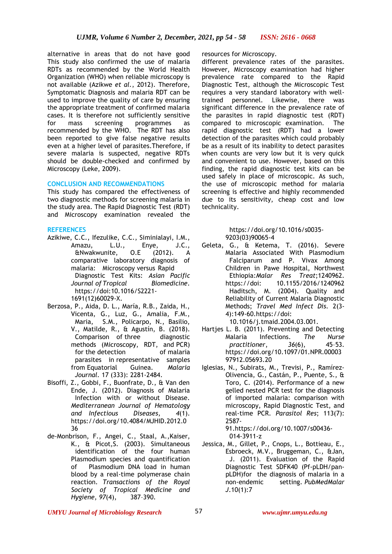alternative in areas that do not have good resources for Microscopy. This study also confirmed the use of malaria RDTs as recommended by the World Health Organization (WHO) when reliable microscopy is not available (Azikwe *et al.*, 2012). Therefore, Symptomatic Diagnosis and malaria RDT can be used to improve the quality of care by ensuring the appropriate treatment of confirmed malaria cases. It is therefore not sufficiently sensitive for mass screening programmes as recommended by the WHO. The RDT has also been reported to give false negative results even at a higher level of parasites.Therefore, if severe malaria is suspected, negative RDTs should be double-checked and confirmed by Microscopy (Leke, 2009).

#### **CONCLUSION AND RECOMMENDATIONS**

This study has compared the effectiveness of two diagnostic methods for screening malaria in the study area. The Rapid Diagnostic Test (RDT) and Microscopy examination revealed the

#### **REFERENCES**

- Azikiwe, C.C., Ifezulike, C.C., Siminialayi, I.M., Amazu, L.U., Enye, J.C., &Nwakwunite, O.E (2012). A comparative laboratory diagnosis of malaria: Microscopy versus Rapid Diagnostic Test Kits: *Asian Pacific Journal of Tropical Biomedicine.* https://doi:10.1016/S2221- 1691(12)60029-X.
- Berzosa, P., Aida, D. L., María, R.B., Zaida, H., Vicenta, G., Luz, G., Amalia, F.M., Maria, S.M., Policarpo, N., Basilio, V., Matilde, R., & Agustín, B. (2018). Comparison of three diagnostic methods (Microscopy, RDT, and PCR) for the detection of malaria parasites in representative samples from Equatorial Guinea. *Malaria Journal.* 17 (333): 2281-2484.
- Bisoffi, Z., Gobbi, F., Buonfrate, D., & Van den Ende, J. (2012). Diagnosis of Malaria Infection with or without Disease. *Mediterranean Journal of Hematology and Infectious Diseases*, *4*(1). https://doi.org/10.4084/MJHID.2012.0 36
- de-Monbrison, F., Angei, C., Staal, A.,Kaiser, K., & Picot,S. (2003). Simultaneous identification of the four human Plasmodium species and quantification of Plasmodium DNA load in human blood by a real-time polymerase chain reaction. *Transactions of the Royal Society of Tropical Medicine and Hygiene*, *97*(4), 387–390.

different prevalence rates of the parasites. However, Microscopy examination had higher prevalence rate compared to the Rapid Diagnostic Test, although the Microscopic Test requires a very standard laboratory with welltrained personnel. Likewise, there was significant difference in the prevalence rate of the parasites in rapid diagnostic test (RDT) compared to microscopic examination. The rapid diagnostic test (RDT) had a lower detection of the parasites which could probably be as a result of its inability to detect parasites when counts are very low but it is very quick and convenient to use. However, based on this finding, the rapid diagnostic test kits can be used safely in place of microscopic. As such, the use of microscopic method for malaria screening is effective and highly recommended due to its sensitivity, cheap cost and low technicality.

#### https://doi.org/10.1016/s0035- 9203(03)90065-4

- Geleta, G., & Ketema, T. (2016). Severe Malaria Associated With Plasmodium Falciparum and P. Vivax Among Children in Pawe Hospital, Northwest Ethiopia:*Malar Res Treat*;1240962. https://doi: 10.1155/2016/1240962 Haditsch, M. (2004). Quality and Reliability of Current Malaria Diagnostic Methods; *Travel Med Infect Dis.* 2(3- 4):149-60.https://doi: 10.1016/j.tmaid.2004.03.001.
- Hartjes L. B. (2011). Preventing and Detecting Malaria Infections. *The Nurse practitioner*, *36*(6), 45–53. https://doi.org/10.1097/01.NPR.00003 97912.05693.20
- Iglesias, N., Subirats, M., Trevisi, P., Ramírez-Olivencia, G., Castán, P., Puente, S., & Toro, C. (2014). Performance of a new gelled nested PCR test for the diagnosis of imported malaria: comparison with microscopy, Rapid Diagnostic Test, and real-time PCR. *Parasitol Res*; 113(7): 2587-

91.https://doi.org/10.1007/s00436- 014-3911-z

Jessica, M., Gillet, P., Cnops, L., Bottieau, E., Esbroeck, M.V., Bruggeman, C., &Jan, J. (2011). Evaluation of the Rapid Diagnostic Test SDFK40 (Pf-pLDH/panpLDH)for the diagnosis of malaria in a non-endemic setting. *PubMedMalar J*.10(1):7

*UMYU Journal of Microbiology Research www.ujmr.umyu.edu.ng*